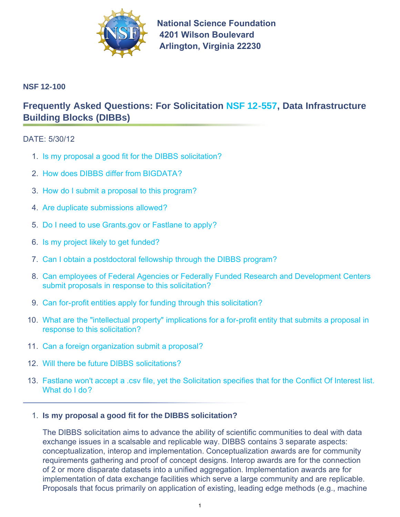

**National Science Foundation 4201 Wilson Boulevard Arlington, Virginia 22230** 

# **NSF 12-100**

# **Frequently Asked Questions: For Solicitation [NSF 12-557,](http://www.nsf.gov/publications/pub_summ.jsp?ods_key=nsf12557) Data Infrastructure Building Blocks (DIBBs)**

# DATE: 5/30/12

- 1. Is my proposal a good fit for the DIBBS solicitation?
- 2. [How does DIBBS differ from BIGDATA?](#page-1-0)
- 3. [How do I submit a proposal to this program?](#page-1-0)
- 4. [Are duplicate submissions allowed?](#page-1-0)
- 5. [Do I need to use Grants.gov or Fastlane to apply?](#page-1-0)
- 6. [Is my project likely to get funded?](#page-1-0)
- 7. [Can I obtain a postdoctoral fellowship through the DIBBS program?](#page-1-0)
- 8. [Can employees of Federal Agencies or Federally Funded Research and Development Centers](#page-1-0) submit proposals in response to this solicitation?
- 9. [Can for-profit entities apply for funding through this solicitation?](#page-2-0)
- 10. [What are the "intellectual property" implications for a for-profit entity that submits a proposal in](#page-2-0) response to this solicitation?
- 11. [Can a foreign organization submit a proposal?](#page-2-0)
- 12. [Will there be future DIBBS solicitations?](#page-2-0)
- 13. [Fastlane won't accept a .csv file, yet the Solicitation specifies that for the Conflict Of Interest list.](#page-2-0) What do I do?

#### 1. **Is my proposal a good fit for the DIBBS solicitation?**

The DIBBS solicitation aims to advance the ability of scientific communities to deal with data exchange issues in a scalsable and replicable way. DIBBS contains 3 separate aspects: conceptualization, interop and implementation. Conceptualization awards are for community requirements gathering and proof of concept designs. Interop awards are for the connection of 2 or more disparate datasets into a unified aggregation. Implementation awards are for implementation of data exchange facilities which serve a large community and are replicable. Proposals that focus primarily on application of existing, leading edge methods (e.g., machine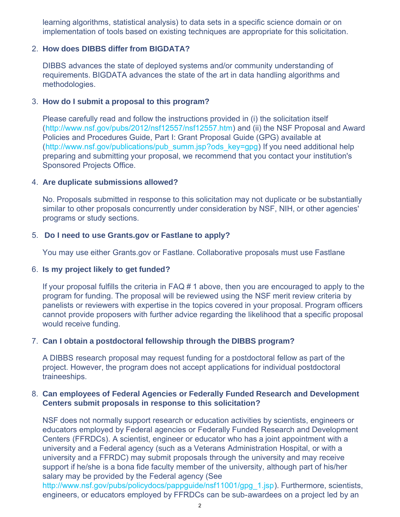<span id="page-1-0"></span>learning algorithms, statistical analysis) to data sets in a specific science domain or on implementation of tools based on existing techniques are appropriate for this solicitation.

#### 2. **How does DIBBS differ from BIGDATA?**

DIBBS advances the state of deployed systems and/or community understanding of requirements. BIGDATA advances the state of the art in data handling algorithms and methodologies.

#### 3. **How do I submit a proposal to this program?**

Please carefully read and follow the instructions provided in (i) the solicitation itself ([http://www.nsf.gov/pubs/2012/nsf12557/nsf12557.htm\)](http://www.nsf.gov/pubs/2012/nsf12557/nsf12557.htm) and (ii) the NSF Proposal and Award Policies and Procedures Guide, Part I: Grant Proposal Guide (GPG) available at ([http://www.nsf.gov/publications/pub\\_summ.jsp?ods\\_key=gpg\)](http://www.nsf.gov/publications/pub_summ.jsp?ods_key=gpg) If you need additional help preparing and submitting your proposal, we recommend that you contact your institution's Sponsored Projects Office.

#### 4. **Are duplicate submissions allowed?**

No. Proposals submitted in response to this solicitation may not duplicate or be substantially similar to other proposals concurrently under consideration by NSF, NIH, or other agencies' programs or study sections.

#### 5. **Do I need to use Grants.gov or Fastlane to apply?**

You may use either Grants.gov or Fastlane. Collaborative proposals must use Fastlane

#### 6. **Is my project likely to get funded?**

If your proposal fulfills the criteria in FAQ # 1 above, then you are encouraged to apply to the program for funding. The proposal will be reviewed using the NSF merit review criteria by panelists or reviewers with expertise in the topics covered in your proposal. Program officers cannot provide proposers with further advice regarding the likelihood that a specific proposal would receive funding.

#### 7. **Can I obtain a postdoctoral fellowship through the DIBBS program?**

A DIBBS research proposal may request funding for a postdoctoral fellow as part of the project. However, the program does not accept applications for individual postdoctoral traineeships.

#### 8. **Can employees of Federal Agencies or Federally Funded Research and Development Centers submit proposals in response to this solicitation?**

NSF does not normally support research or education activities by scientists, engineers or educators employed by Federal agencies or Federally Funded Research and Development Centers (FFRDCs). A scientist, engineer or educator who has a joint appointment with a university and a Federal agency (such as a Veterans Administration Hospital, or with a university and a FFRDC) may submit proposals through the university and may receive support if he/she is a bona fide faculty member of the university, although part of his/her salary may be provided by the Federal agency (See

[http://www.nsf.gov/pubs/policydocs/pappguide/nsf11001/gpg\\_1.jsp\)](http://www.nsf.gov/pubs/policydocs/pappguide/nsf11001/gpg_1.jsp). Furthermore, scientists, engineers, or educators employed by FFRDCs can be sub-awardees on a project led by an